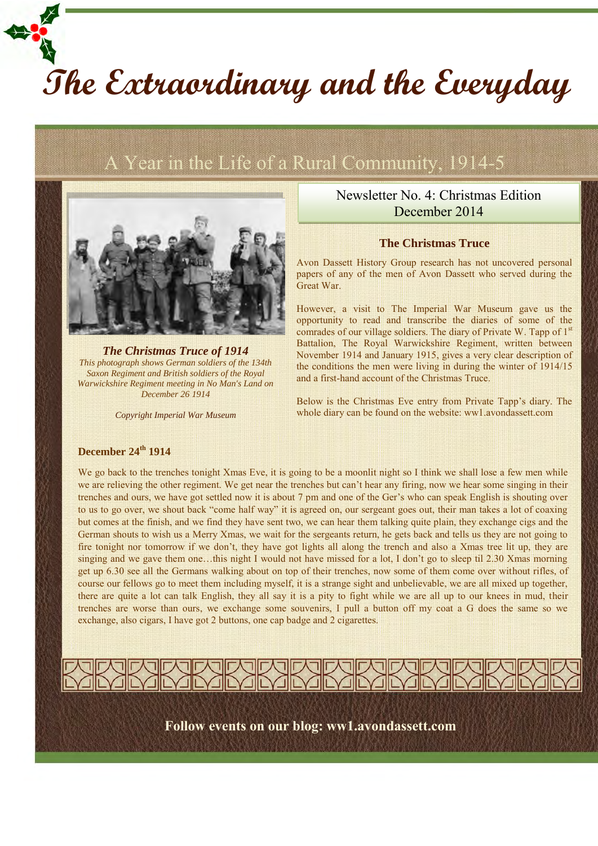# **The Extraordinary and the Everyday**

## A Year in the Life of a Rural Community, 1914-5



*The Christmas Truce of 1914 This photograph shows German soldiers of the 134th Saxon Regiment and British soldiers of the Royal Warwickshire Regiment meeting in No Man's Land on December 26 1914*

*Copyright Imperial War Museum*

### Newsletter No. 4: Christmas Edition December 2014

#### **The Christmas Truce**

Avon Dassett History Group research has not uncovered personal papers of any of the men of Avon Dassett who served during the Great War.

However, a visit to The Imperial War Museum gave us the opportunity to read and transcribe the diaries of some of the comrades of our village soldiers. The diary of Private W. Tapp of  $1<sup>st</sup>$ Battalion, The Royal Warwickshire Regiment, written between November 1914 and January 1915, gives a very clear description of the conditions the men were living in during the winter of 1914/15 and a first-hand account of the Christmas Truce.

Below is the Christmas Eve entry from Private Tapp's diary. The whole diary can be found on the website: ww1.avondassett.com

#### **December 24th 1914**

We go back to the trenches tonight Xmas Eve, it is going to be a moonlit night so I think we shall lose a few men while we are relieving the other regiment. We get near the trenches but can't hear any firing, now we hear some singing in their trenches and ours, we have got settled now it is about 7 pm and one of the Ger's who can speak English is shouting over to us to go over, we shout back "come half way" it is agreed on, our sergeant goes out, their man takes a lot of coaxing but comes at the finish, and we find they have sent two, we can hear them talking quite plain, they exchange cigs and the German shouts to wish us a Merry Xmas, we wait for the sergeants return, he gets back and tells us they are not going to fire tonight nor tomorrow if we don't, they have got lights all along the trench and also a Xmas tree lit up, they are singing and we gave them one…this night I would not have missed for a lot, I don't go to sleep til 2.30 Xmas morning get up 6.30 see all the Germans walking about on top of their trenches, now some of them come over without rifles, of course our fellows go to meet them including myself, it is a strange sight and unbelievable, we are all mixed up together, there are quite a lot can talk English, they all say it is a pity to fight while we are all up to our knees in mud, their trenches are worse than ours, we exchange some souvenirs, I pull a button off my coat a G does the same so we exchange, also cigars, I have got 2 buttons, one cap badge and 2 cigarettes.



**Follow events on our blog: ww1.avondassett.com**